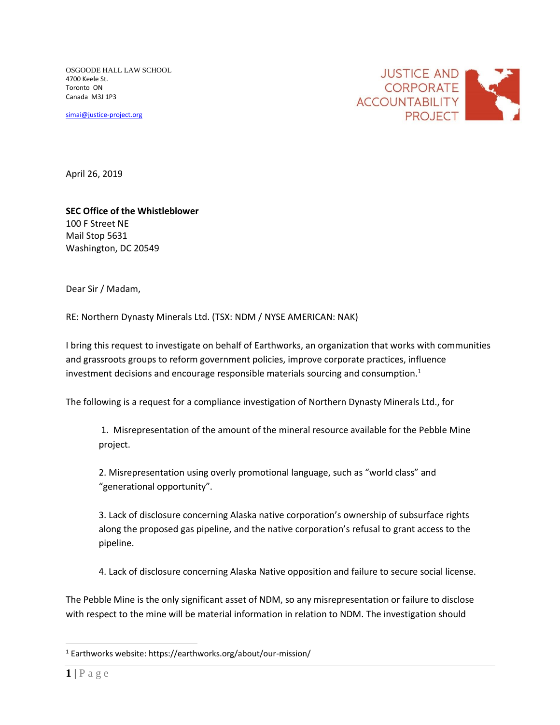OSGOODE HALL LAW SCHOOL 4700 Keele St. Toronto ON Canada M3J 1P3

[simai@justice-project.org](mailto:simai@justice-project.org)



April 26, 2019

**SEC Office of the Whistleblower** 100 F Street NE Mail Stop 5631 Washington, DC 20549

Dear Sir / Madam,

RE: Northern Dynasty Minerals Ltd. (TSX: NDM / NYSE AMERICAN: NAK)

I bring this request to investigate on behalf of Earthworks, an organization that works with communities and grassroots groups to reform government policies, improve corporate practices, influence investment decisions and encourage responsible materials sourcing and consumption. $1$ 

The following is a request for a compliance investigation of Northern Dynasty Minerals Ltd., for

1. Misrepresentation of the amount of the mineral resource available for the Pebble Mine project.

2. Misrepresentation using overly promotional language, such as "world class" and "generational opportunity".

3. Lack of disclosure concerning Alaska native corporation's ownership of subsurface rights along the proposed gas pipeline, and the native corporation's refusal to grant access to the pipeline.

4. Lack of disclosure concerning Alaska Native opposition and failure to secure social license.

The Pebble Mine is the only significant asset of NDM, so any misrepresentation or failure to disclose with respect to the mine will be material information in relation to NDM. The investigation should

<sup>1</sup> Earthworks website: https://earthworks.org/about/our-mission/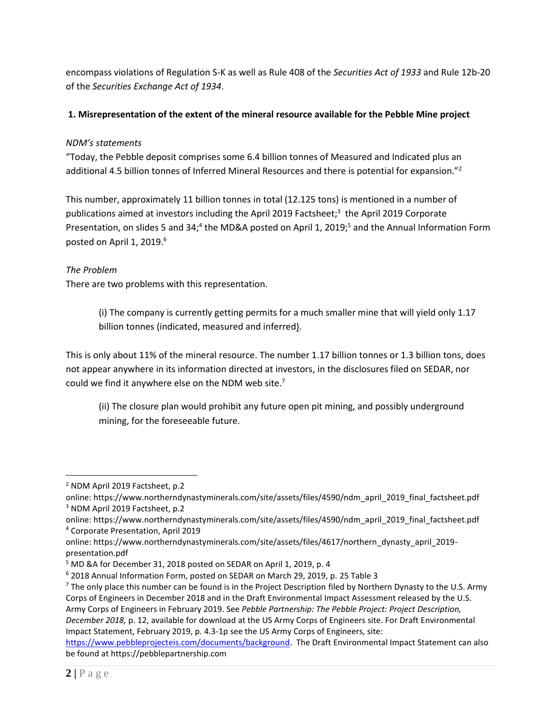encompass violations of Regulation S-K as well as Rule 408 of the *Securities Act of 1933* and Rule 12b-20 of the *Securities Exchange Act of 1934*.

## **1. Misrepresentation of the extent of the mineral resource available for the Pebble Mine project**

#### *NDM's statements*

"Today, the Pebble deposit comprises some 6.4 billion tonnes of Measured and Indicated plus an additional 4.5 billion tonnes of Inferred Mineral Resources and there is potential for expansion."<sup>2</sup>

This number, approximately 11 billion tonnes in total (12.125 tons) is mentioned in a number of publications aimed at investors including the April 2019 Factsheet; 3 the April 2019 Corporate Presentation, on slides 5 and 34;<sup>4</sup> the MD&A posted on April 1, 2019;<sup>5</sup> and the Annual Information Form posted on April 1, 2019.<sup>6</sup>

## *The Problem*

There are two problems with this representation.

(i) The company is currently getting permits for a much smaller mine that will yield only 1.17 billion tonnes (indicated, measured and inferred).

This is only about 11% of the mineral resource. The number 1.17 billion tonnes or 1.3 billion tons, does not appear anywhere in its information directed at investors, in the disclosures filed on SEDAR, nor could we find it anywhere else on the NDM web site.<sup>7</sup>

(ii) The closure plan would prohibit any future open pit mining, and possibly underground mining, for the foreseeable future.

[https://www.pebbleprojecteis.com/documents/background.](https://www.pebbleprojecteis.com/documents/background) The Draft Environmental Impact Statement can also be found at https://pebblepartnership.com

<sup>2</sup> NDM April 2019 Factsheet, p.2

online: https://www.northerndynastyminerals.com/site/assets/files/4590/ndm\_april\_2019\_final\_factsheet.pdf <sup>3</sup> NDM April 2019 Factsheet, p.2

online: https://www.northerndynastyminerals.com/site/assets/files/4590/ndm\_april\_2019\_final\_factsheet.pdf <sup>4</sup> Corporate Presentation, April 2019

online: https://www.northerndynastyminerals.com/site/assets/files/4617/northern\_dynasty\_april\_2019 presentation.pdf

<sup>&</sup>lt;sup>5</sup> MD &A for December 31, 2018 posted on SEDAR on April 1, 2019, p. 4

<sup>6</sup> 2018 Annual Information Form, posted on SEDAR on March 29, 2019, p. 25 Table 3

 $<sup>7</sup>$  The only place this number can be found is in the Project Description filed by Northern Dynasty to the U.S. Army</sup> Corps of Engineers in December 2018 and in the Draft Environmental Impact Assessment released by the U.S. Army Corps of Engineers in February 2019. See *Pebble Partnership: The Pebble Project: Project Description, December 2018,* p. 12, available for download at the US Army Corps of Engineers site. For Draft Environmental Impact Statement, February 2019, p. 4.3-1p see the US Army Corps of Engineers, site: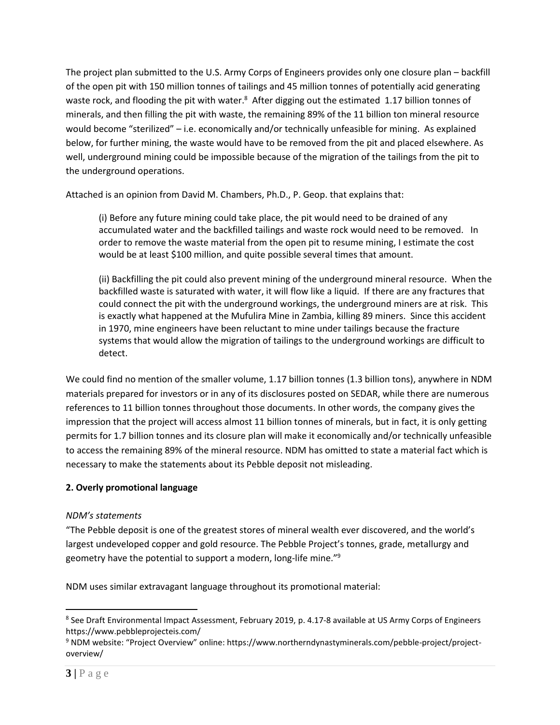The project plan submitted to the U.S. Army Corps of Engineers provides only one closure plan – backfill of the open pit with 150 million tonnes of tailings and 45 million tonnes of potentially acid generating waste rock, and flooding the pit with water.<sup>8</sup> After digging out the estimated 1.17 billion tonnes of minerals, and then filling the pit with waste, the remaining 89% of the 11 billion ton mineral resource would become "sterilized" – i.e. economically and/or technically unfeasible for mining. As explained below, for further mining, the waste would have to be removed from the pit and placed elsewhere. As well, underground mining could be impossible because of the migration of the tailings from the pit to the underground operations.

Attached is an opinion from David M. Chambers, Ph.D., P. Geop. that explains that:

(i) Before any future mining could take place, the pit would need to be drained of any accumulated water and the backfilled tailings and waste rock would need to be removed. In order to remove the waste material from the open pit to resume mining, I estimate the cost would be at least \$100 million, and quite possible several times that amount.

(ii) Backfilling the pit could also prevent mining of the underground mineral resource. When the backfilled waste is saturated with water, it will flow like a liquid. If there are any fractures that could connect the pit with the underground workings, the underground miners are at risk. This is exactly what happened at the Mufulira Mine in Zambia, killing 89 miners. Since this accident in 1970, mine engineers have been reluctant to mine under tailings because the fracture systems that would allow the migration of tailings to the underground workings are difficult to detect.

We could find no mention of the smaller volume, 1.17 billion tonnes (1.3 billion tons), anywhere in NDM materials prepared for investors or in any of its disclosures posted on SEDAR, while there are numerous references to 11 billion tonnes throughout those documents. In other words, the company gives the impression that the project will access almost 11 billion tonnes of minerals, but in fact, it is only getting permits for 1.7 billion tonnes and its closure plan will make it economically and/or technically unfeasible to access the remaining 89% of the mineral resource. NDM has omitted to state a material fact which is necessary to make the statements about its Pebble deposit not misleading.

## **2. Overly promotional language**

#### *NDM's statements*

"The Pebble deposit is one of the greatest stores of mineral wealth ever discovered, and the world's largest undeveloped copper and gold resource. The Pebble Project's tonnes, grade, metallurgy and geometry have the potential to support a modern, long-life mine."<sup>9</sup>

NDM uses similar extravagant language throughout its promotional material:

<sup>&</sup>lt;sup>8</sup> See Draft Environmental Impact Assessment, February 2019, p. 4.17-8 available at US Army Corps of Engineers https://www.pebbleprojecteis.com/

<sup>9</sup> NDM website: "Project Overview" online: https://www.northerndynastyminerals.com/pebble-project/projectoverview/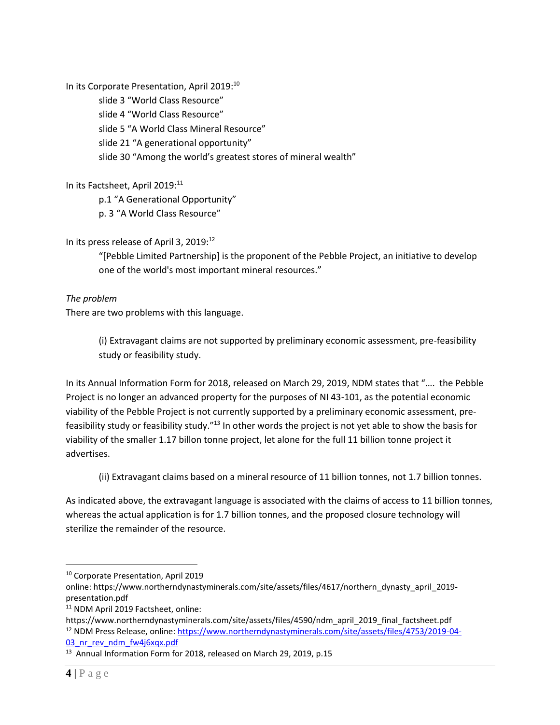In its Corporate Presentation, April 2019: 10

slide 3 "World Class Resource"

slide 4 "World Class Resource"

slide 5 "A World Class Mineral Resource"

slide 21 "A generational opportunity"

slide 30 "Among the world's greatest stores of mineral wealth"

In its Factsheet, April 2019:<sup>11</sup>

p.1 "A Generational Opportunity"

p. 3 "A World Class Resource"

In its press release of April 3, 2019:<sup>12</sup>

"[Pebble Limited Partnership] is the proponent of the Pebble Project, an initiative to develop one of the world's most important mineral resources."

## *The problem*

There are two problems with this language.

(i) Extravagant claims are not supported by preliminary economic assessment, pre-feasibility study or feasibility study.

In its Annual Information Form for 2018, released on March 29, 2019, NDM states that "…. the Pebble Project is no longer an advanced property for the purposes of NI 43-101, as the potential economic viability of the Pebble Project is not currently supported by a preliminary economic assessment, prefeasibility study or feasibility study."<sup>13</sup> In other words the project is not yet able to show the basis for viability of the smaller 1.17 billon tonne project, let alone for the full 11 billion tonne project it advertises.

(ii) Extravagant claims based on a mineral resource of 11 billion tonnes, not 1.7 billion tonnes.

As indicated above, the extravagant language is associated with the claims of access to 11 billion tonnes, whereas the actual application is for 1.7 billion tonnes, and the proposed closure technology will sterilize the remainder of the resource.

<sup>&</sup>lt;sup>10</sup> Corporate Presentation, April 2019

online: https://www.northerndynastyminerals.com/site/assets/files/4617/northern\_dynasty\_april\_2019 presentation.pdf

<sup>11</sup> NDM April 2019 Factsheet, online:

https://www.northerndynastyminerals.com/site/assets/files/4590/ndm\_april\_2019\_final\_factsheet.pdf <sup>12</sup> NDM Press Release, online: [https://www.northerndynastyminerals.com/site/assets/files/4753/2019-04-](https://www.northerndynastyminerals.com/site/assets/files/4753/2019-04-03_nr_rev_ndm_fw4j6xqx.pdf) [03\\_nr\\_rev\\_ndm\\_fw4j6xqx.pdf](https://www.northerndynastyminerals.com/site/assets/files/4753/2019-04-03_nr_rev_ndm_fw4j6xqx.pdf)

<sup>&</sup>lt;sup>13</sup> Annual Information Form for 2018, released on March 29, 2019, p.15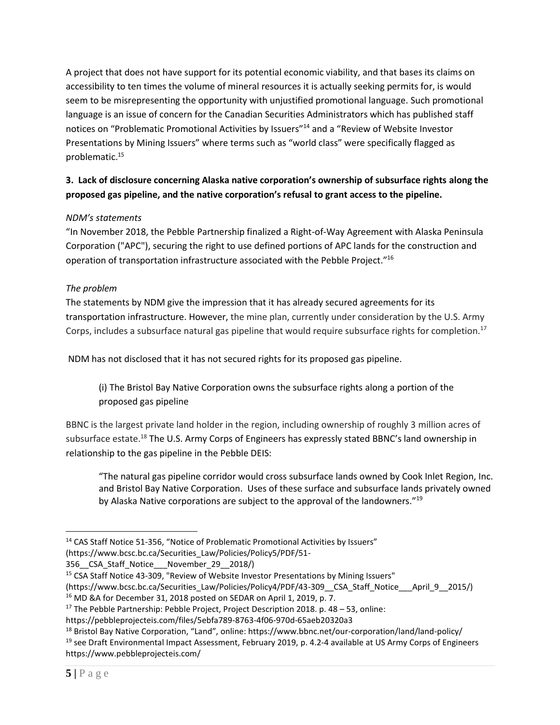A project that does not have support for its potential economic viability, and that bases its claims on accessibility to ten times the volume of mineral resources it is actually seeking permits for, is would seem to be misrepresenting the opportunity with unjustified promotional language. Such promotional language is an issue of concern for the Canadian Securities Administrators which has published staff notices on "Problematic Promotional Activities by Issuers"<sup>14</sup> and a "Review of Website Investor Presentations by Mining Issuers" where terms such as "world class" were specifically flagged as problematic. 15

# **3. Lack of disclosure concerning Alaska native corporation's ownership of subsurface rights along the proposed gas pipeline, and the native corporation's refusal to grant access to the pipeline.**

## *NDM's statements*

"In November 2018, the Pebble Partnership finalized a Right-of-Way Agreement with Alaska Peninsula Corporation ("APC"), securing the right to use defined portions of APC lands for the construction and operation of transportation infrastructure associated with the Pebble Project." 16

#### *The problem*

The statements by NDM give the impression that it has already secured agreements for its transportation infrastructure. However, the mine plan, currently under consideration by the U.S. Army Corps, includes a subsurface natural gas pipeline that would require subsurface rights for completion.<sup>17</sup>

NDM has not disclosed that it has not secured rights for its proposed gas pipeline.

(i) The Bristol Bay Native Corporation owns the subsurface rights along a portion of the proposed gas pipeline

BBNC is the largest private land holder in the region, including ownership of roughly 3 million acres of subsurface estate.<sup>18</sup> The U.S. Army Corps of Engineers has expressly stated BBNC's land ownership in relationship to the gas pipeline in the Pebble DEIS:

"The natural gas pipeline corridor would cross subsurface lands owned by Cook Inlet Region, Inc. and Bristol Bay Native Corporation. Uses of these surface and subsurface lands privately owned by Alaska Native corporations are subject to the approval of the landowners."<sup>19</sup>

<sup>&</sup>lt;sup>14</sup> CAS Staff Notice 51-356, "Notice of Problematic Promotional Activities by Issuers" (https://www.bcsc.bc.ca/Securities\_Law/Policies/Policy5/PDF/51-

<sup>356</sup> CSA Staff Notice November 29 2018/)

<sup>&</sup>lt;sup>15</sup> CSA Staff Notice 43-309, "Review of Website Investor Presentations by Mining Issuers"

<sup>(</sup>https://www.bcsc.bc.ca/Securities\_Law/Policies/Policy4/PDF/43-309 CSA\_Staff\_Notice April\_9\_2015/)

<sup>&</sup>lt;sup>16</sup> MD &A for December 31, 2018 posted on SEDAR on April 1, 2019, p. 7.

<sup>&</sup>lt;sup>17</sup> The Pebble Partnership: Pebble Project, Project Description 2018. p. 48 – 53, online:

https://pebbleprojecteis.com/files/5ebfa789-8763-4f06-970d-65aeb20320a3

<sup>18</sup> Bristol Bay Native Corporation, "Land", online: https://www.bbnc.net/our-corporation/land/land-policy/ <sup>19</sup> see Draft Environmental Impact Assessment, February 2019, p. 4.2-4 available at US Army Corps of Engineers https://www.pebbleprojecteis.com/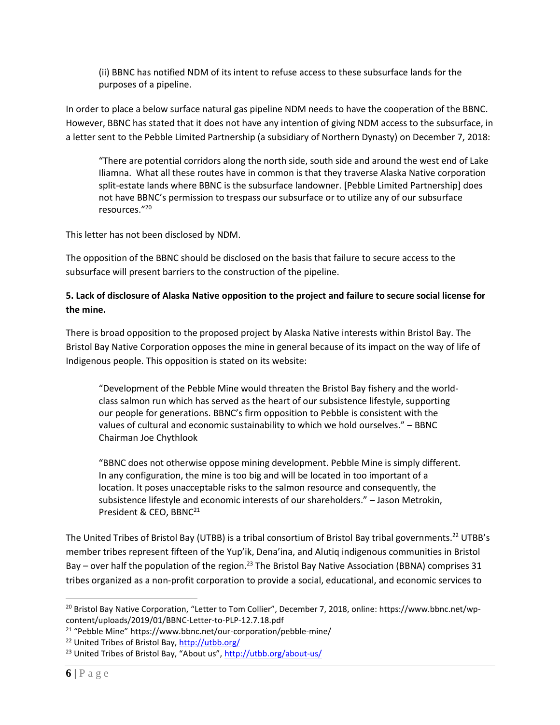(ii) BBNC has notified NDM of its intent to refuse access to these subsurface lands for the purposes of a pipeline.

In order to place a below surface natural gas pipeline NDM needs to have the cooperation of the BBNC. However, BBNC has stated that it does not have any intention of giving NDM access to the subsurface, in a letter sent to the Pebble Limited Partnership (a subsidiary of Northern Dynasty) on December 7, 2018:

"There are potential corridors along the north side, south side and around the west end of Lake Iliamna. What all these routes have in common is that they traverse Alaska Native corporation split-estate lands where BBNC is the subsurface landowner. [Pebble Limited Partnership] does not have BBNC's permission to trespass our subsurface or to utilize any of our subsurface resources."<sup>20</sup>

This letter has not been disclosed by NDM.

The opposition of the BBNC should be disclosed on the basis that failure to secure access to the subsurface will present barriers to the construction of the pipeline.

## **5. Lack of disclosure of Alaska Native opposition to the project and failure to secure social license for the mine.**

There is broad opposition to the proposed project by Alaska Native interests within Bristol Bay. The Bristol Bay Native Corporation opposes the mine in general because of its impact on the way of life of Indigenous people. This opposition is stated on its website:

"Development of the Pebble Mine would threaten the Bristol Bay fishery and the worldclass salmon run which has served as the heart of our subsistence lifestyle, supporting our people for generations. BBNC's firm opposition to Pebble is consistent with the values of cultural and economic sustainability to which we hold ourselves." – BBNC Chairman Joe Chythlook

"BBNC does not otherwise oppose mining development. Pebble Mine is simply different. In any configuration, the mine is too big and will be located in too important of a location. It poses unacceptable risks to the salmon resource and consequently, the subsistence lifestyle and economic interests of our shareholders." – Jason Metrokin, President & CEO, BBNC<sup>21</sup>

The United Tribes of Bristol Bay (UTBB) is a tribal consortium of Bristol Bay tribal governments.<sup>22</sup> UTBB's member tribes represent fifteen of the Yup'ik, Dena'ina, and Alutiq indigenous communities in Bristol Bay – over half the population of the region.<sup>23</sup> The Bristol Bay Native Association (BBNA) comprises 31 tribes organized as a non-profit corporation to provide a social, educational, and economic services to

<sup>&</sup>lt;sup>20</sup> Bristol Bay Native Corporation, "Letter to Tom Collier", December 7, 2018, online: https://www.bbnc.net/wpcontent/uploads/2019/01/BBNC-Letter-to-PLP-12.7.18.pdf

<sup>21</sup> "Pebble Mine" https://www.bbnc.net/our-corporation/pebble-mine/

<sup>22</sup> United Tribes of Bristol Bay,<http://utbb.org/>

<sup>&</sup>lt;sup>23</sup> United Tribes of Bristol Bay, "About us", <http://utbb.org/about-us/>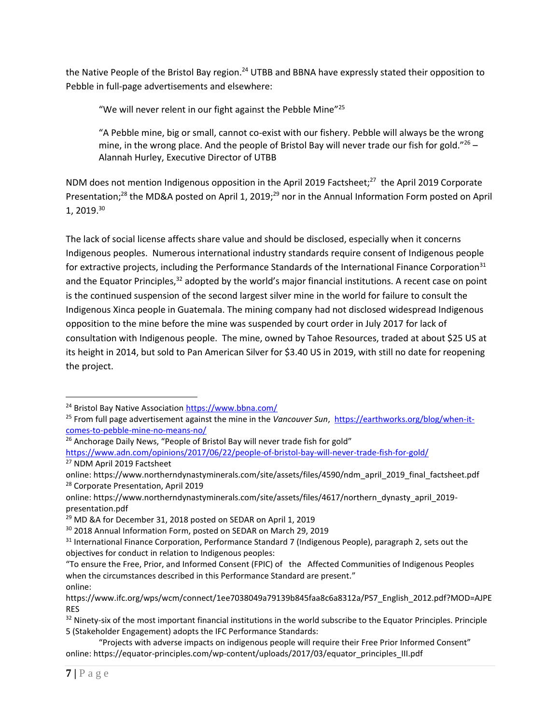the Native People of the Bristol Bay region.<sup>24</sup> UTBB and BBNA have expressly stated their opposition to Pebble in full-page advertisements and elsewhere:

"We will never relent in our fight against the Pebble Mine"<sup>25</sup>

"A Pebble mine, big or small, cannot co-exist with our fishery. Pebble will always be the wrong mine, in the wrong place. And the people of Bristol Bay will never trade our fish for gold."<sup>26</sup> – Alannah Hurley, Executive Director of UTBB

NDM does not mention Indigenous opposition in the April 2019 Factsheet;<sup>27</sup> the April 2019 Corporate Presentation;<sup>28</sup> the MD&A posted on April 1, 2019;<sup>29</sup> nor in the Annual Information Form posted on April 1, 2019.<sup>30</sup>

The lack of social license affects share value and should be disclosed, especially when it concerns Indigenous peoples. Numerous international industry standards require consent of Indigenous people for extractive projects, including the Performance Standards of the International Finance Corporation<sup>31</sup> and the Equator Principles,<sup>32</sup> adopted by the world's major financial institutions. A recent case on point is the continued suspension of the second largest silver mine in the world for failure to consult the Indigenous Xinca people in Guatemala. The mining company had not disclosed widespread Indigenous opposition to the mine before the mine was suspended by court order in July 2017 for lack of consultation with Indigenous people. The mine, owned by Tahoe Resources, traded at about \$25 US at its height in 2014, but sold to Pan American Silver for \$3.40 US in 2019, with still no date for reopening the project.

<sup>24</sup> Bristol Bay Native Association<https://www.bbna.com/>

<sup>25</sup> From full page advertisement against the mine in the *Vancouver Sun*, [https://earthworks.org/blog/when-it](https://earthworks.org/blog/when-it-comes-to-pebble-mine-no-means-no/)[comes-to-pebble-mine-no-means-no/](https://earthworks.org/blog/when-it-comes-to-pebble-mine-no-means-no/)

<sup>&</sup>lt;sup>26</sup> Anchorage Daily News, "People of Bristol Bay will never trade fish for gold"

<https://www.adn.com/opinions/2017/06/22/people-of-bristol-bay-will-never-trade-fish-for-gold/> <sup>27</sup> NDM April 2019 Factsheet

online: https://www.northerndynastyminerals.com/site/assets/files/4590/ndm\_april\_2019\_final\_factsheet.pdf <sup>28</sup> Corporate Presentation, April 2019

online: https://www.northerndynastyminerals.com/site/assets/files/4617/northern\_dynasty\_april\_2019 presentation.pdf

<sup>&</sup>lt;sup>29</sup> MD &A for December 31, 2018 posted on SEDAR on April 1, 2019

<sup>30</sup> 2018 Annual Information Form, posted on SEDAR on March 29, 2019

<sup>&</sup>lt;sup>31</sup> International Finance Corporation, Performance Standard 7 (Indigenous People), paragraph 2, sets out the objectives for conduct in relation to Indigenous peoples:

<sup>&</sup>quot;To ensure the Free, Prior, and Informed Consent (FPIC) of the Affected Communities of Indigenous Peoples when the circumstances described in this Performance Standard are present." online:

https://www.ifc.org/wps/wcm/connect/1ee7038049a79139b845faa8c6a8312a/PS7\_English\_2012.pdf?MOD=AJPE RES

<sup>&</sup>lt;sup>32</sup> Ninety-six of the most important financial institutions in the world subscribe to the Equator Principles. Principle 5 (Stakeholder Engagement) adopts the IFC Performance Standards:

<sup>&</sup>quot;Projects with adverse impacts on indigenous people will require their Free Prior Informed Consent" online: https://equator-principles.com/wp-content/uploads/2017/03/equator\_principles\_III.pdf